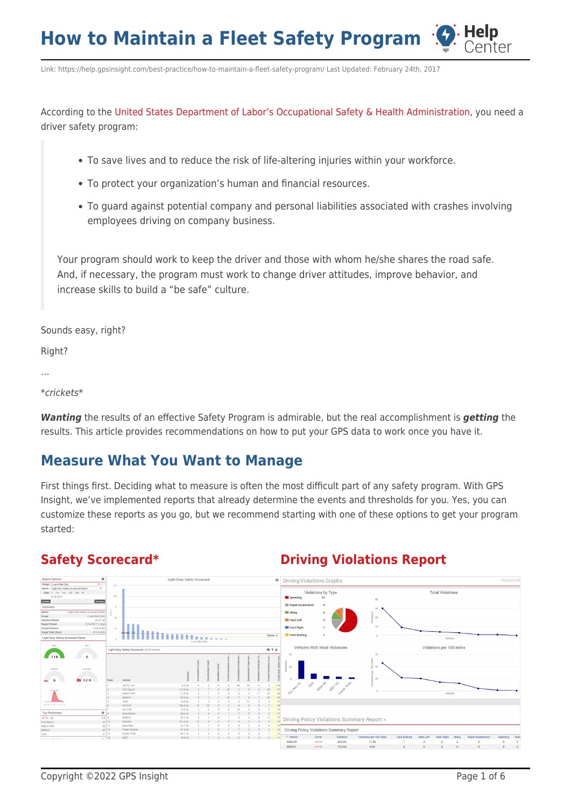Link: https://help.gpsinsight.com/best-practice/how-to-maintain-a-fleet-safety-program/ Last Updated: February 24th, 2017

According to the [United States Department of Labor's Occupational Safety & Health Administration](https://www.osha.gov/Publications/motor_vehicle_guide.html), you need a driver safety program:

- To save lives and to reduce the risk of life-altering injuries within your workforce.
- To protect your organization's human and financial resources.
- To guard against potential company and personal liabilities associated with crashes involving employees driving on company business.

Your program should work to keep the driver and those with whom he/she shares the road safe. And, if necessary, the program must work to change driver attitudes, improve behavior, and increase skills to build a "be safe" culture.

Sounds easy, right?

Right?

```
…
```
\*crickets\*

*Wanting* the results of an effective Safety Program is admirable, but the real accomplishment is *getting* the results. This article provides recommendations on how to put your GPS data to work once you have it.

### **Measure What You Want to Manage**

First things first. Deciding what to measure is often the most difficult part of any safety program. With GPS Insight, we've implemented reports that already determine the events and thresholds for you. Yes, you can customize these reports as you go, but we recommend starting with one of these options to get your program started:

#### **[Safety Scorecard\\*](https://help.gpsinsight.com/deep-dive/how-do-i-create-a-safety-scorecard/) [Driving Violations Report](https://help.gpsinsight.com/docs/about-reports/using-the-driving-violations-summary-report/)**



Center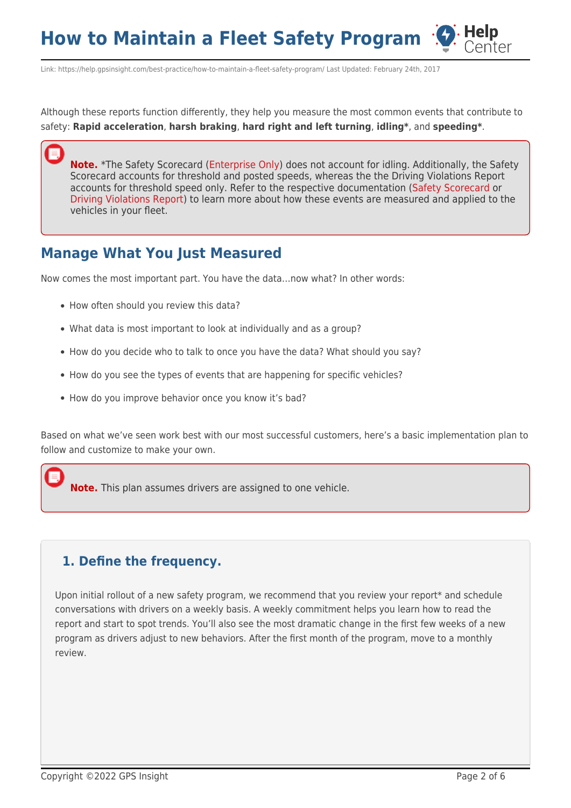Link: https://help.gpsinsight.com/best-practice/how-to-maintain-a-fleet-safety-program/ Last Updated: February 24th, 2017

Although these reports function differently, they help you measure the most common events that contribute to safety: **Rapid acceleration**, **harsh braking**, **hard right and left turning**, **idling\***, and **speeding\***.

**Note.** \*The Safety Scorecard [\(Enterprise Only](https://help.gpsinsight.com/looking-to-upgrade/)) does not account for idling. Additionally, the Safety Scorecard accounts for threshold and posted speeds, whereas the the Driving Violations Report accounts for threshold speed only. Refer to the respective documentation [\(Safety Scorecard](https://help.gpsinsight.com/deep-dive/how-do-i-create-a-safety-scorecard/) or [Driving Violations Report](https://help.gpsinsight.com/docs/about-reports/using-the-driving-violations-summary-report/)) to learn more about how these events are measured and applied to the vehicles in your fleet.

## **Manage What You Just Measured**

Now comes the most important part. You have the data…now what? In other words:

- How often should you review this data?
- What data is most important to look at individually and as a group?
- How do you decide who to talk to once you have the data? What should you say?
- How do you see the types of events that are happening for specific vehicles?
- How do you improve behavior once you know it's bad?

Based on what we've seen work best with our most successful customers, here's a basic implementation plan to follow and customize to make your own.

**Note.** This plan assumes drivers are assigned to one vehicle.

#### **1. Define the frequency.**

Upon initial rollout of a new safety program, we recommend that you review your report\* and schedule conversations with drivers on a weekly basis. A weekly commitment helps you learn how to read the report and start to spot trends. You'll also see the most dramatic change in the first few weeks of a new program as drivers adjust to new behaviors. After the first month of the program, move to a monthly review.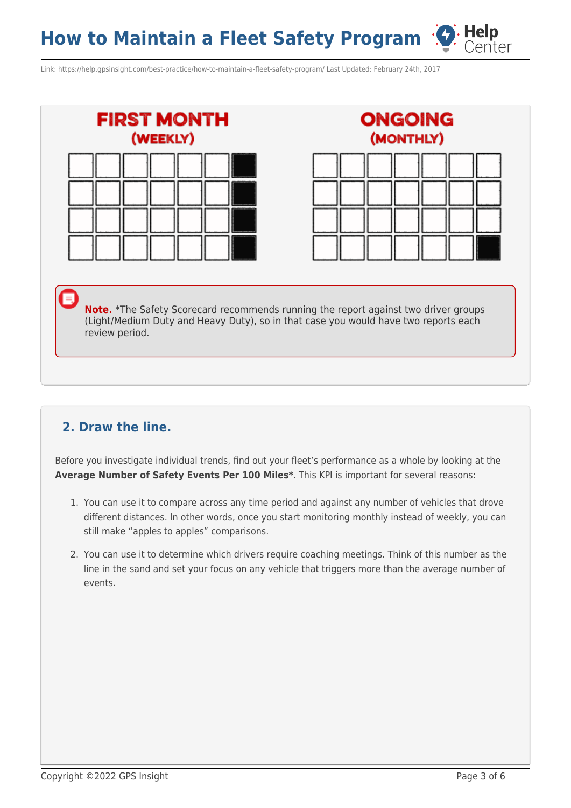Link: https://help.gpsinsight.com/best-practice/how-to-maintain-a-fleet-safety-program/ Last Updated: February 24th, 2017





Center

**Note.** \*The Safety Scorecard recommends running the report against two driver groups (Light/Medium Duty and Heavy Duty), so in that case you would have two reports each review period.

### **2. Draw the line.**

Before you investigate individual trends, find out your fleet's performance as a whole by looking at the **Average Number of Safety Events Per 100 Miles\***. This KPI is important for several reasons:

- 1. You can use it to compare across any time period and against any number of vehicles that drove different distances. In other words, once you start monitoring monthly instead of weekly, you can still make "apples to apples" comparisons.
- 2. You can use it to determine which drivers require coaching meetings. Think of this number as the line in the sand and set your focus on any vehicle that triggers more than the average number of events.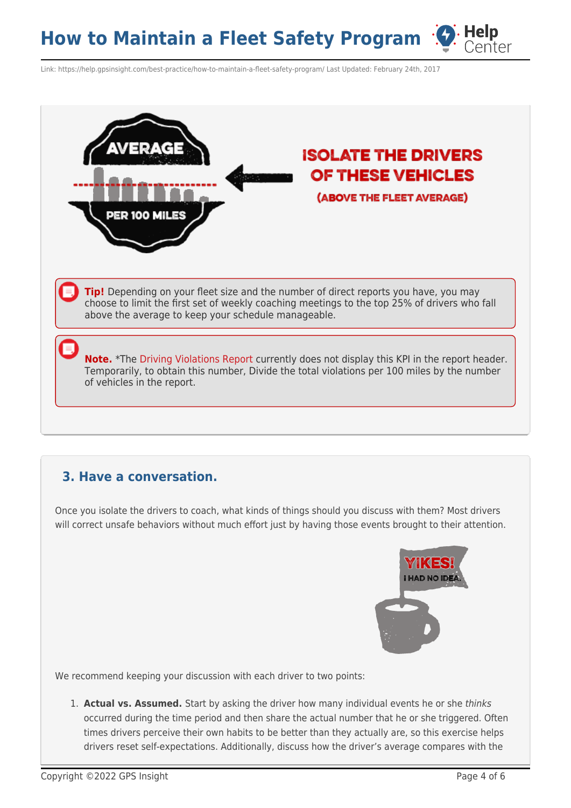Link: https://help.gpsinsight.com/best-practice/how-to-maintain-a-fleet-safety-program/ Last Updated: February 24th, 2017



#### **3. Have a conversation.**

Once you isolate the drivers to coach, what kinds of things should you discuss with them? Most drivers will correct unsafe behaviors without much effort just by having those events brought to their attention.



We recommend keeping your discussion with each driver to two points:

1. **Actual vs. Assumed.** Start by asking the driver how many individual events he or she thinks occurred during the time period and then share the actual number that he or she triggered. Often times drivers perceive their own habits to be better than they actually are, so this exercise helps drivers reset self-expectations. Additionally, discuss how the driver's average compares with the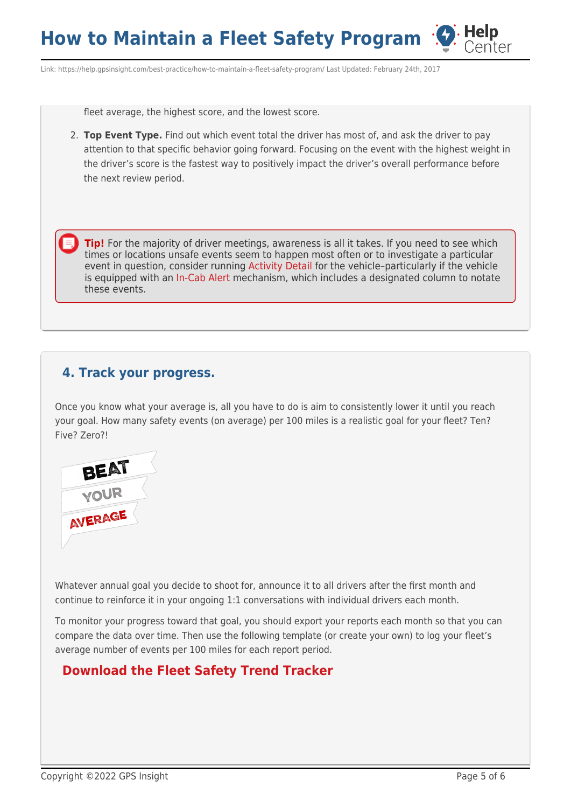Link: https://help.gpsinsight.com/best-practice/how-to-maintain-a-fleet-safety-program/ Last Updated: February 24th, 2017

fleet average, the highest score, and the lowest score.

2. **Top Event Type.** Find out which event total the driver has most of, and ask the driver to pay attention to that specific behavior going forward. Focusing on the event with the highest weight in the driver's score is the fastest way to positively impact the driver's overall performance before the next review period.

**Tip!** For the majority of driver meetings, awareness is all it takes. If you need to see which times or locations unsafe events seem to happen most often or to investigate a particular event in question, consider running [Activity Detail](https://help.gpsinsight.com/docs/about-reports/) for the vehicle–particularly if the vehicle is equipped with an [In-Cab Alert](https://help.gpsinsight.com/device/pnp-3000/) mechanism, which includes a designated column to notate these events.

#### **4. Track your progress.**

Once you know what your average is, all you have to do is aim to consistently lower it until you reach your goal. How many safety events (on average) per 100 miles is a realistic goal for your fleet? Ten? Five? Zero?!



Whatever annual goal you decide to shoot for, announce it to all drivers after the first month and continue to reinforce it in your ongoing 1:1 conversations with individual drivers each month.

To monitor your progress toward that goal, you should export your reports each month so that you can compare the data over time. Then use the following template (or create your own) to log your fleet's average number of events per 100 miles for each report period.

#### **[Download the Fleet Safety Trend Tracker](https://help.gpsinsight.com/wp-content/uploads/2017/02/Fleet_Safety_Trend_Tracker.xlsx)**